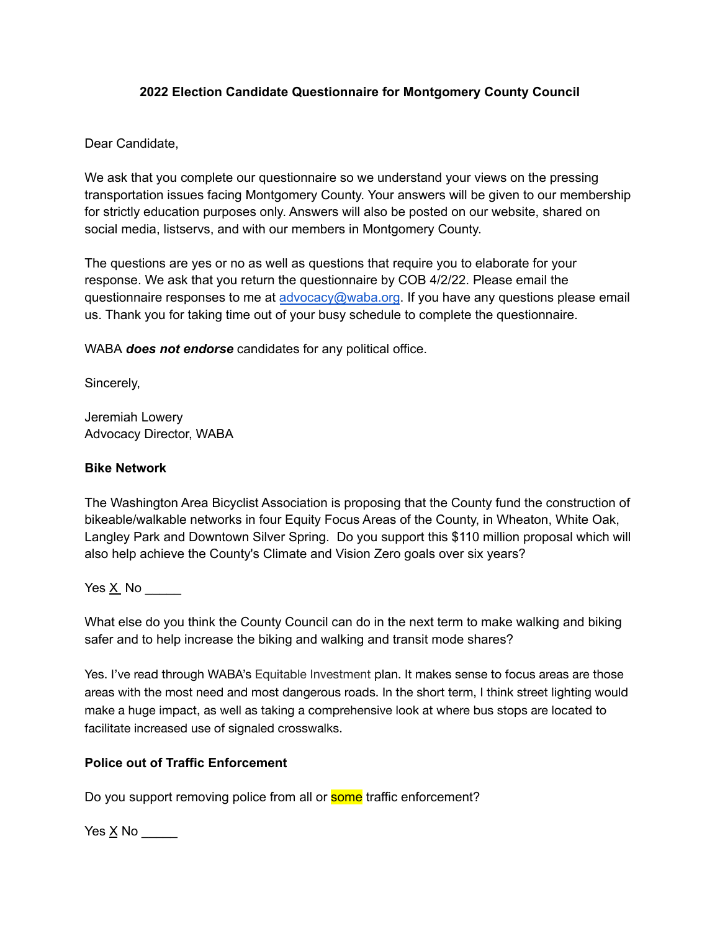### **2022 Election Candidate Questionnaire for Montgomery County Council**

Dear Candidate,

We ask that you complete our questionnaire so we understand your views on the pressing transportation issues facing Montgomery County. Your answers will be given to our membership for strictly education purposes only. Answers will also be posted on our website, shared on social media, listservs, and with our members in Montgomery County.

The questions are yes or no as well as questions that require you to elaborate for your response. We ask that you return the questionnaire by COB 4/2/22. Please email the questionnaire responses to me at [advocacy@waba.org](mailto:advocacy@waba.org). If you have any questions please email us. Thank you for taking time out of your busy schedule to complete the questionnaire.

WABA *does not endorse* candidates for any political office.

Sincerely,

Jeremiah Lowery Advocacy Director, WABA

### **Bike Network**

The Washington Area Bicyclist Association is proposing that the County fund the construction of bikeable/walkable networks in four Equity Focus Areas of the County, in Wheaton, White Oak, Langley Park and Downtown Silver Spring. Do you support this \$110 million proposal which will also help achieve the County's Climate and Vision Zero goals over six years?

Yes  $\underline{X}$  No  $\underline{\hspace{1cm}}$ 

What else do you think the County Council can do in the next term to make walking and biking safer and to help increase the biking and walking and transit mode shares?

Yes. I've read through WABA's Equitable Investment plan. It makes sense to focus areas are those areas with the most need and most dangerous roads. In the short term, I think street lighting would make a huge impact, as well as taking a comprehensive look at where bus stops are located to facilitate increased use of signaled crosswalks.

# **Police out of Traffic Enforcement**

Do you support removing police from all or **some** traffic enforcement?

Yes  $\underline{X}$  No  $\underline{\hspace{1cm}}$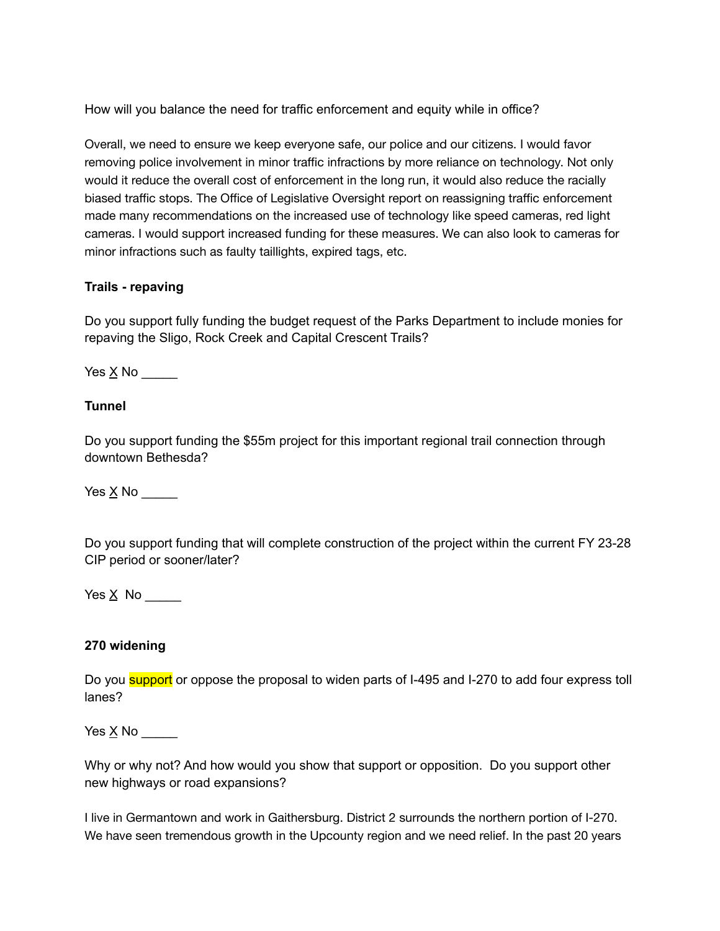How will you balance the need for traffic enforcement and equity while in office?

Overall, we need to ensure we keep everyone safe, our police and our citizens. I would favor removing police involvement in minor traffic infractions by more reliance on technology. Not only would it reduce the overall cost of enforcement in the long run, it would also reduce the racially biased traffic stops. The Office of Legislative Oversight report on reassigning traffic enforcement made many recommendations on the increased use of technology like speed cameras, red light cameras. I would support increased funding for these measures. We can also look to cameras for minor infractions such as faulty taillights, expired tags, etc.

### **Trails - repaving**

Do you support fully funding the budget request of the Parks Department to include monies for repaving the Sligo, Rock Creek and Capital Crescent Trails?

Yes  $\underline{X}$  No \_\_\_\_\_\_\_

# **Tunnel**

Do you support funding the \$55m project for this important regional trail connection through downtown Bethesda?

Yes X No

Do you support funding that will complete construction of the project within the current FY 23-28 CIP period or sooner/later?

Yes  $\underline{X}$  No

#### **270 widening**

Do you **support** or oppose the proposal to widen parts of I-495 and I-270 to add four express toll lanes?

Yes  $\times$  No \_\_\_\_\_\_

Why or why not? And how would you show that support or opposition. Do you support other new highways or road expansions?

I live in Germantown and work in Gaithersburg. District 2 surrounds the northern portion of I-270. We have seen tremendous growth in the Upcounty region and we need relief. In the past 20 years